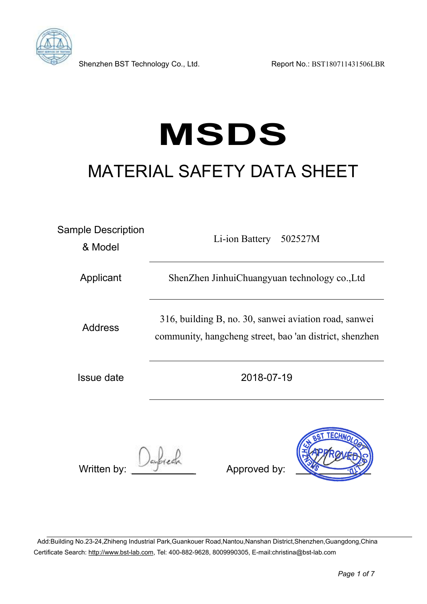

Shenzhen BST Technology Co., Ltd. Report No.: BST180711431506LBR

# **MSDS** MATERIAL SAFETY DATA SHEET

| <b>Sample Description</b><br>& Model | Li-ion Battery<br>502527M                                                                                        |  |  |  |  |  |
|--------------------------------------|------------------------------------------------------------------------------------------------------------------|--|--|--|--|--|
| Applicant                            | ShenZhen JinhuiChuangyuan technology co., Ltd                                                                    |  |  |  |  |  |
| <b>Address</b>                       | 316, building B, no. 30, sanwei aviation road, sanwei<br>community, hangcheng street, bao 'an district, shenzhen |  |  |  |  |  |
| <b>Issue date</b>                    | 2018-07-19                                                                                                       |  |  |  |  |  |
| Written by:                          | <b>ECHN<sub>C</sub></b><br>Approved by:                                                                          |  |  |  |  |  |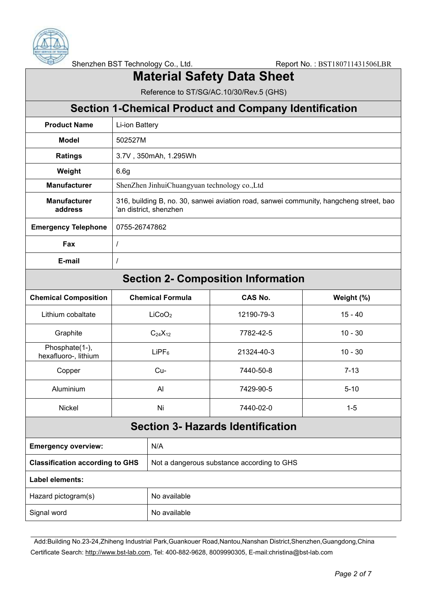

Shenzhen BST Technology Co., Ltd. Report No.: BST180711431506LBR

## **Material Safety Data Sheet**

Reference to ST/SG/AC.10/30/Rev.5 (GHS)

|                                        |                                                                                                                  |                                            | <b>Section 1-Chemical Product and Company Identification</b> |            |  |
|----------------------------------------|------------------------------------------------------------------------------------------------------------------|--------------------------------------------|--------------------------------------------------------------|------------|--|
| <b>Product Name</b>                    | Li-ion Battery                                                                                                   |                                            |                                                              |            |  |
| <b>Model</b>                           | 502527M                                                                                                          |                                            |                                                              |            |  |
| <b>Ratings</b>                         |                                                                                                                  | 3.7V, 350mAh, 1.295Wh                      |                                                              |            |  |
| Weight                                 | 6.6g                                                                                                             |                                            |                                                              |            |  |
| <b>Manufacturer</b>                    | ShenZhen JinhuiChuangyuan technology co., Ltd                                                                    |                                            |                                                              |            |  |
| <b>Manufacturer</b><br>address         | 316, building B, no. 30, sanwei aviation road, sanwei community, hangcheng street, bao<br>'an district, shenzhen |                                            |                                                              |            |  |
| <b>Emergency Telephone</b>             | 0755-26747862                                                                                                    |                                            |                                                              |            |  |
| Fax                                    | $\overline{I}$                                                                                                   |                                            |                                                              |            |  |
| E-mail                                 | $\prime$                                                                                                         |                                            |                                                              |            |  |
|                                        |                                                                                                                  |                                            | <b>Section 2- Composition Information</b>                    |            |  |
| <b>Chemical Composition</b>            |                                                                                                                  | <b>Chemical Formula</b>                    | <b>CAS No.</b>                                               | Weight (%) |  |
| Lithium cobaltate                      | LiCoO <sub>2</sub>                                                                                               |                                            | 12190-79-3                                                   | $15 - 40$  |  |
| Graphite                               | $C_{24}X_{12}$                                                                                                   |                                            | 7782-42-5                                                    | $10 - 30$  |  |
| Phosphate(1-),<br>hexafluoro-, lithium | LIPF <sub>6</sub>                                                                                                |                                            | 21324-40-3                                                   | $10 - 30$  |  |
| Copper                                 | Cu-                                                                                                              |                                            | 7440-50-8                                                    | $7 - 13$   |  |
| Aluminium                              | Al                                                                                                               |                                            | 7429-90-5                                                    | $5 - 10$   |  |
| <b>Nickel</b>                          | Ni                                                                                                               |                                            | 7440-02-0                                                    | $1 - 5$    |  |
|                                        |                                                                                                                  |                                            | <b>Section 3- Hazards Identification</b>                     |            |  |
| <b>Emergency overview:</b>             |                                                                                                                  | N/A                                        |                                                              |            |  |
| <b>Classification according to GHS</b> |                                                                                                                  | Not a dangerous substance according to GHS |                                                              |            |  |
| Label elements:                        |                                                                                                                  |                                            |                                                              |            |  |
| Hazard pictogram(s)                    |                                                                                                                  | No available                               |                                                              |            |  |
| Signal word                            |                                                                                                                  | No available                               |                                                              |            |  |
|                                        |                                                                                                                  |                                            |                                                              |            |  |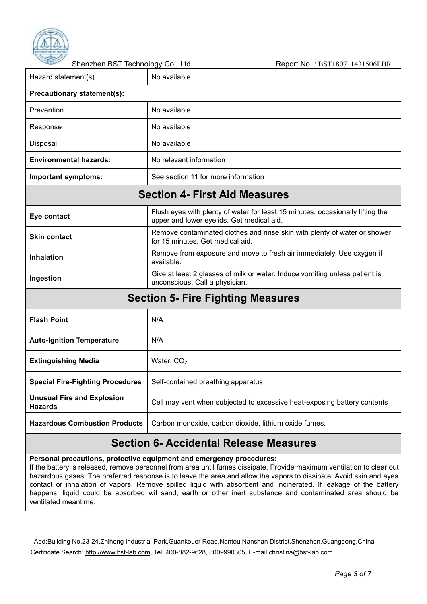

Shenzhen BST Technology Co., Ltd. Report No.: BST180711431506LBR Hazard statement(s)  $\vert$  No available **Precautionary statement(s):** Prevention No available Response No available Disposal No available **Environmental hazards:** No relevant information **Important symptoms:** See section 11 for more information **Section 4- First Aid Measures Eye contact** Flush eyes with plenty of water for least 15 minutes, occasionally lifting the upper and lower eyelids. Get medical aid. **Skin contact** Remove contaminated clothes and rinse skin with plenty of water or shower for 15 minutes. Get medical aid. **Inhalation** Remove from exposure and move to fresh air immediately. Use oxygen if available. **Ingestion** Give at least 2 glasses of milk or water. Induce vomiting unless patient is unconscious. Call a physician. **Section 5- Fire Fighting Measures Flash Point** N/A **Auto-lanition Temperature** | N/A **Extinguishing Media** Water, CO<sub>2</sub> **Special Fire-Fighting Procedures** Self-contained breathing apparatus **Unusual Fire and Explosion Hazards** Cell may vent when subjected to excessive heat-exposing battery contents **Hazardous Combustion Products** Carbon monoxide, carbon dioxide, lithium oxide fumes.

#### **Section 6- Accidental Release Measures**

**Personal precautions, protective equipment and emergency procedures:**

If the battery is released, remove personnel from area until fumes dissipate. Provide maximum ventilation to clear out hazardous gases. The preferred response is to leave the area and allow the vapors to dissipate. Avoid skin and eyes contact or inhalation of vapors. Remove spilled liquid with absorbent and incinerated. If leakage of the battery happens, liquid could be absorbed wit sand, earth or other inert substance and contaminated area should be ventilated meantime.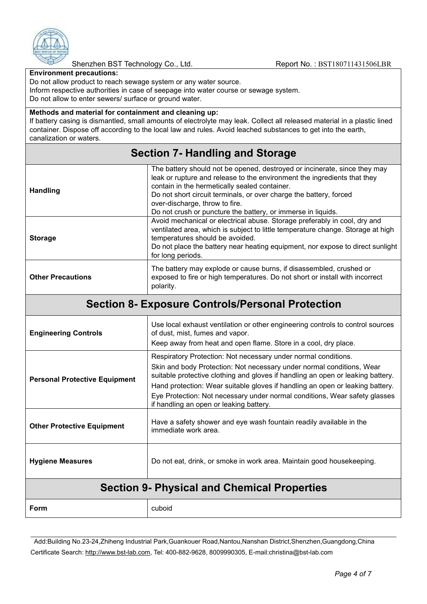

Shenzhen BST Technology Co., Ltd. Report No.: BST180711431506LBR

**Environment precautions:**

Do not allow product to reach sewage system or any water source.

Inform respective authorities in case of seepage into water course or sewage system.

Do not allow to enter sewers/ surface or ground water.

#### **Methods and material for containment and cleaning up:**

If battery casing is dismantled, small amounts of electrolyte may leak. Collect all released material in a plastic lined container. Dispose off according to the local law and rules. Avoid leached substances to get into the earth, canalization or waters.

#### **Section 7- Handling and Storage**

| <b>Handling</b>          | The battery should not be opened, destroyed or incinerate, since they may<br>leak or rupture and release to the environment the ingredients that they<br>contain in the hermetically sealed container.<br>Do not short circuit terminals, or over charge the battery, forced<br>over-discharge, throw to fire.<br>Do not crush or puncture the battery, or immerse in liquids. |
|--------------------------|--------------------------------------------------------------------------------------------------------------------------------------------------------------------------------------------------------------------------------------------------------------------------------------------------------------------------------------------------------------------------------|
| <b>Storage</b>           | Avoid mechanical or electrical abuse. Storage preferably in cool, dry and<br>ventilated area, which is subject to little temperature change. Storage at high<br>temperatures should be avoided.<br>Do not place the battery near heating equipment, nor expose to direct sunlight<br>for long periods.                                                                         |
| <b>Other Precautions</b> | The battery may explode or cause burns, if disassembled, crushed or<br>exposed to fire or high temperatures. Do not short or install with incorrect<br>polarity.                                                                                                                                                                                                               |

#### **Section 8- Exposure Controls/Personal Protection**

| <b>Section 9- Physical and Chemical Properties</b> |                                                                                                                                                                                                                                                                                                             |
|----------------------------------------------------|-------------------------------------------------------------------------------------------------------------------------------------------------------------------------------------------------------------------------------------------------------------------------------------------------------------|
| <b>Hygiene Measures</b>                            | Do not eat, drink, or smoke in work area. Maintain good housekeeping.                                                                                                                                                                                                                                       |
| <b>Other Protective Equipment</b>                  | Have a safety shower and eye wash fountain readily available in the<br>immediate work area.                                                                                                                                                                                                                 |
|                                                    | Eye Protection: Not necessary under normal conditions, Wear safety glasses<br>if handling an open or leaking battery.                                                                                                                                                                                       |
| <b>Personal Protective Equipment</b>               | Respiratory Protection: Not necessary under normal conditions.<br>Skin and body Protection: Not necessary under normal conditions, Wear<br>suitable protective clothing and gloves if handling an open or leaking battery.<br>Hand protection: Wear suitable gloves if handling an open or leaking battery. |
| <b>Engineering Controls</b>                        | Use local exhaust ventilation or other engineering controls to control sources<br>of dust, mist, fumes and vapor.<br>Keep away from heat and open flame. Store in a cool, dry place.                                                                                                                        |

**Form** cuboid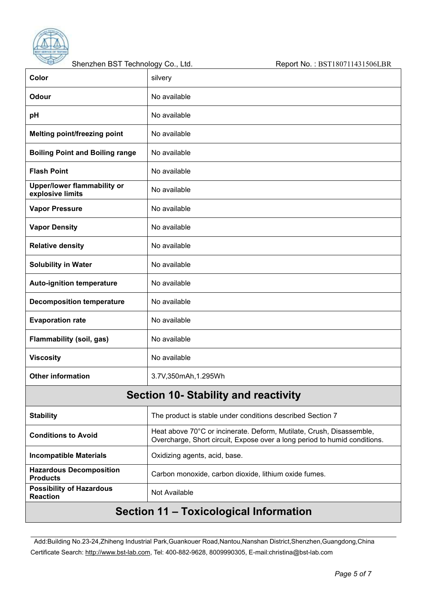

| سنتوس<br>Shenzhen BST Technology Co., Ltd.         | Report No.: BST180711431506LBR                                                                                                                    |
|----------------------------------------------------|---------------------------------------------------------------------------------------------------------------------------------------------------|
| Color                                              | silvery                                                                                                                                           |
| Odour                                              | No available                                                                                                                                      |
| pH                                                 | No available                                                                                                                                      |
| <b>Melting point/freezing point</b>                | No available                                                                                                                                      |
| <b>Boiling Point and Boiling range</b>             | No available                                                                                                                                      |
| <b>Flash Point</b>                                 | No available                                                                                                                                      |
| Upper/lower flammability or<br>explosive limits    | No available                                                                                                                                      |
| <b>Vapor Pressure</b>                              | No available                                                                                                                                      |
| <b>Vapor Density</b>                               | No available                                                                                                                                      |
| <b>Relative density</b>                            | No available                                                                                                                                      |
| <b>Solubility in Water</b>                         | No available                                                                                                                                      |
| <b>Auto-ignition temperature</b>                   | No available                                                                                                                                      |
| <b>Decomposition temperature</b>                   | No available                                                                                                                                      |
| <b>Evaporation rate</b>                            | No available                                                                                                                                      |
| <b>Flammability (soil, gas)</b>                    | No available                                                                                                                                      |
| <b>Viscosity</b>                                   | No available                                                                                                                                      |
| <b>Other information</b>                           | 3.7V,350mAh,1.295Wh                                                                                                                               |
|                                                    | <b>Section 10- Stability and reactivity</b>                                                                                                       |
| <b>Stability</b>                                   | The product is stable under conditions described Section 7                                                                                        |
| <b>Conditions to Avoid</b>                         | Heat above 70°C or incinerate. Deform, Mutilate, Crush, Disassemble,<br>Overcharge, Short circuit, Expose over a long period to humid conditions. |
| <b>Incompatible Materials</b>                      | Oxidizing agents, acid, base.                                                                                                                     |
| <b>Hazardous Decomposition</b><br><b>Products</b>  | Carbon monoxide, carbon dioxide, lithium oxide fumes.                                                                                             |
| <b>Possibility of Hazardous</b><br><b>Reaction</b> | Not Available                                                                                                                                     |
|                                                    | Section 11 - Toxicological Information                                                                                                            |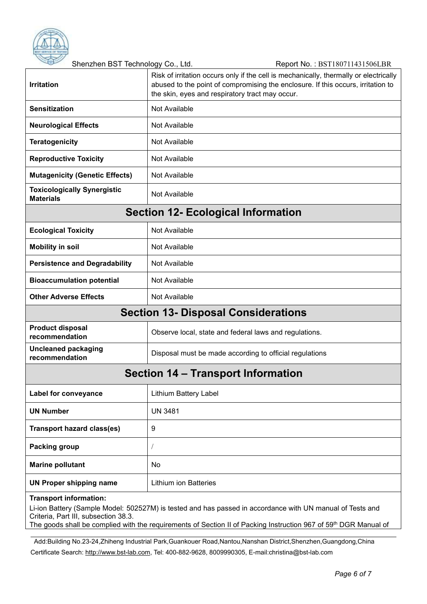

Shenzhen BST Technology Co., Ltd. Report No.: BST180711431506LBR

| <b>Irritation</b>                                              | Risk of irritation occurs only if the cell is mechanically, thermally or electrically<br>abused to the point of compromising the enclosure. If this occurs, irritation to<br>the skin, eyes and respiratory tract may occur. |  |  |
|----------------------------------------------------------------|------------------------------------------------------------------------------------------------------------------------------------------------------------------------------------------------------------------------------|--|--|
| <b>Sensitization</b>                                           | Not Available                                                                                                                                                                                                                |  |  |
| <b>Neurological Effects</b>                                    | Not Available                                                                                                                                                                                                                |  |  |
| <b>Teratogenicity</b>                                          | Not Available                                                                                                                                                                                                                |  |  |
| <b>Reproductive Toxicity</b>                                   | <b>Not Available</b>                                                                                                                                                                                                         |  |  |
| <b>Mutagenicity (Genetic Effects)</b><br>Not Available         |                                                                                                                                                                                                                              |  |  |
| <b>Toxicologically Synergistic</b><br><b>Materials</b>         | <b>Not Available</b>                                                                                                                                                                                                         |  |  |
|                                                                | <b>Section 12- Ecological Information</b>                                                                                                                                                                                    |  |  |
| <b>Ecological Toxicity</b>                                     | Not Available                                                                                                                                                                                                                |  |  |
| <b>Mobility in soil</b>                                        | Not Available                                                                                                                                                                                                                |  |  |
| <b>Persistence and Degradability</b>                           | Not Available                                                                                                                                                                                                                |  |  |
| <b>Bioaccumulation potential</b>                               | Not Available                                                                                                                                                                                                                |  |  |
| <b>Other Adverse Effects</b>                                   | Not Available                                                                                                                                                                                                                |  |  |
|                                                                | <b>Section 13- Disposal Considerations</b>                                                                                                                                                                                   |  |  |
| <b>Product disposal</b><br>recommendation                      | Observe local, state and federal laws and regulations.                                                                                                                                                                       |  |  |
| <b>Uncleaned packaging</b><br>recommendation                   | Disposal must be made according to official regulations                                                                                                                                                                      |  |  |
|                                                                | Section 14 – Transport Information                                                                                                                                                                                           |  |  |
| Label for conveyance                                           | Lithium Battery Label                                                                                                                                                                                                        |  |  |
| <b>UN Number</b>                                               | <b>UN 3481</b>                                                                                                                                                                                                               |  |  |
| <b>Transport hazard class(es)</b>                              | 9                                                                                                                                                                                                                            |  |  |
| Packing group                                                  |                                                                                                                                                                                                                              |  |  |
| <b>Marine pollutant</b>                                        | No                                                                                                                                                                                                                           |  |  |
| <b>UN Proper shipping name</b><br><b>Lithium ion Batteries</b> |                                                                                                                                                                                                                              |  |  |
| <b>Transport information:</b>                                  |                                                                                                                                                                                                                              |  |  |

Li-ion Battery (Sample Model: 502527M) is tested and has passed in accordance with UN manual of Tests and Criteria, Part III, subsection 38.3. The goods shall be complied with the requirements of Section II of Packing Instruction 967 of 59<sup>th</sup> DGR Manual of

Add:Building No.23-24,Zhiheng Industrial Park,Guankouer Road,Nantou,Nanshan District,Shenzhen,Guangdong,China

Certificate Search: [http://www.bst-lab.com,](http://www.bst-lab.com/) Tel: 400-882-9628, 8009990305, E-mail:christina@bst-lab.com